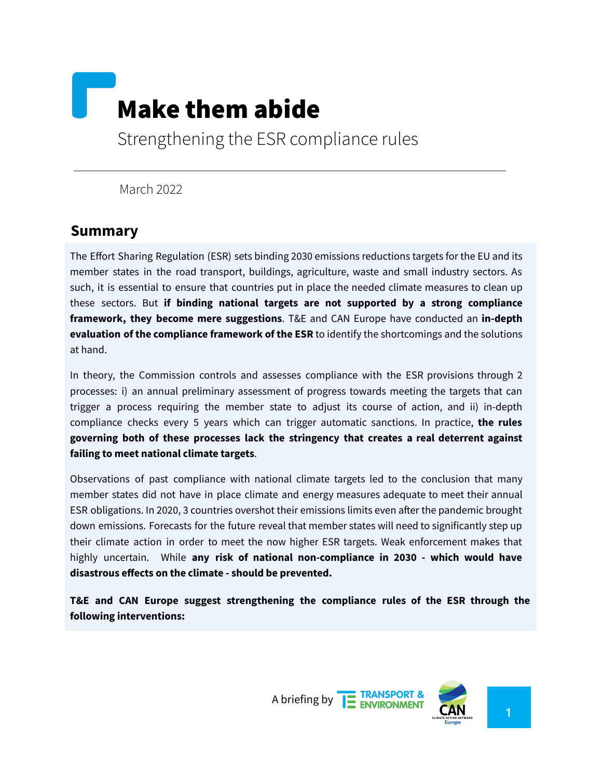# Make them abide

Strengthening the ESR compliance rules

March 2022

#### **Summary**

The Effort Sharing Regulation (ESR) sets binding 2030 emissions reductions targets for the EU and its member states in the road transport, buildings, agriculture, waste and small industry sectors. As such, it is essential to ensure that countries put in place the needed climate measures to clean up these sectors. But **if binding national targets are not supported by a strong compliance framework, they become mere suggestions**. T&E and CAN Europe have conducted an **in-depth evaluation of the compliance framework of the ESR** to identify the shortcomings and the solutions at hand.

In theory, the Commission controls and assesses compliance with the ESR provisions through 2 processes: i) an annual preliminary assessment of progress towards meeting the targets that can trigger a process requiring the member state to adjust its course of action, and ii) in-depth compliance checks every 5 years which can trigger automatic sanctions. In practice, **the rules governing both of these processes lack the stringency that creates a real deterrent against failing to meet national climate targets**.

Observations of past compliance with national climate targets led to the conclusion that many member states did not have in place climate and energy measures adequate to meet their annual ESR obligations. In 2020, 3 countries overshot their emissions limits even after the pandemic brought down emissions. Forecasts for the future reveal that member states will need to significantly step up their climate action in order to meet the now higher ESR targets. Weak enforcement makes that highly uncertain. While **any risk of national non-compliance in 2030 - which would have disastrous effects on the climate - should be prevented.**

**T&E and CAN Europe suggest strengthening the compliance rules of the ESR through the following interventions:**

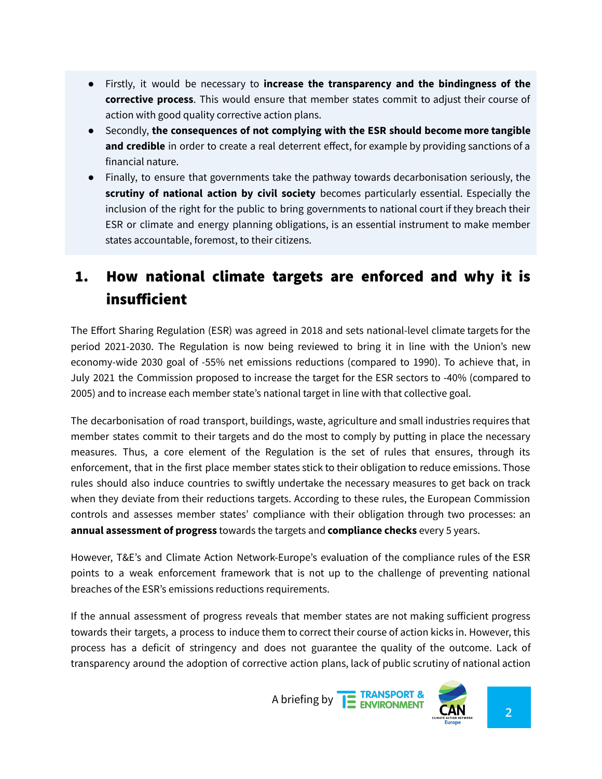- Firstly, it would be necessary to **increase the transparency and the bindingness of the corrective process**. This would ensure that member states commit to adjust their course of action with good quality corrective action plans.
- Secondly, **the consequences of not complying with the ESR should become more tangible and credible** in order to create a real deterrent effect, for example by providing sanctions of a financial nature.
- Finally, to ensure that governments take the pathway towards decarbonisation seriously, the **scrutiny of national action by civil society** becomes particularly essential. Especially the inclusion of the right for the public to bring governments to national court if they breach their ESR or climate and energy planning obligations, is an essential instrument to make member states accountable, foremost, to their citizens.

## 1. How national climate targets are enforced and why it is insufficient

The Effort Sharing Regulation (ESR) was agreed in 2018 and sets national-level climate targets for the period 2021-2030. The Regulation is now being reviewed to bring it in line with the Union's new economy-wide 2030 goal of -55% net emissions reductions (compared to 1990). To achieve that, in July 2021 the Commission proposed to increase the target for the ESR sectors to -40% (compared to 2005) and to increase each member state's national target in line with that collective goal.

The decarbonisation of road transport, buildings, waste, agriculture and small industries requires that member states commit to their targets and do the most to comply by putting in place the necessary measures. Thus, a core element of the Regulation is the set of rules that ensures, through its enforcement, that in the first place member states stick to their obligation to reduce emissions. Those rules should also induce countries to swiftly undertake the necessary measures to get back on track when they deviate from their reductions targets. According to these rules, the European Commission controls and assesses member states' compliance with their obligation through two processes: an **annual assessment of progress** towards the targets and **compliance checks** every 5 years.

However, T&E's and Climate Action Network-Europe's evaluation of the compliance rules of the ESR points to a weak enforcement framework that is not up to the challenge of preventing national breaches of the ESR's emissions reductions requirements.

If the annual assessment of progress reveals that member states are not making sufficient progress towards their targets, a process to induce them to correct their course of action kicks in. However, this process has a deficit of stringency and does not guarantee the quality of the outcome. Lack of transparency around the adoption of corrective action plans, lack of public scrutiny of national action



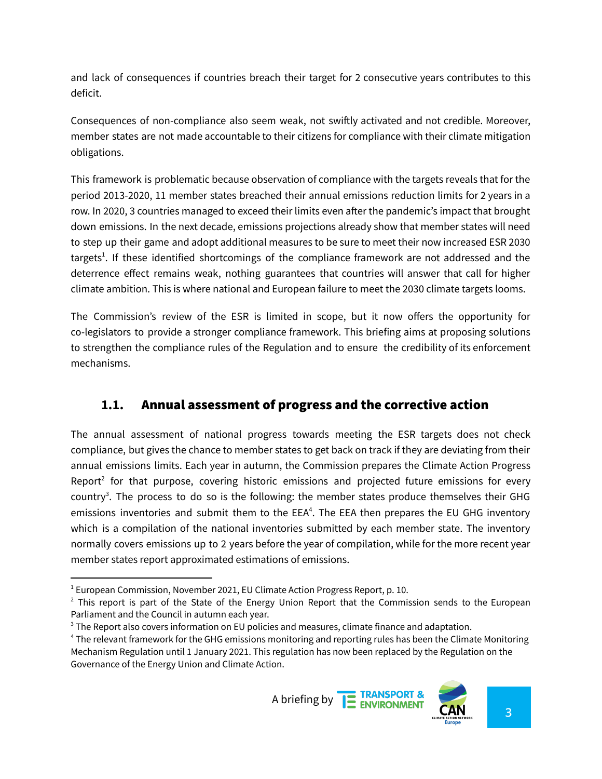and lack of consequences if countries breach their target for 2 consecutive years contributes to this deficit.

Consequences of non-compliance also seem weak, not swiftly activated and not credible. Moreover, member states are not made accountable to their citizens for compliance with their climate mitigation obligations.

This framework is problematic because observation of compliance with the targets reveals that for the period 2013-2020, 11 member states breached their annual emissions reduction limits for 2 years in a row. In 2020, 3 countries managed to exceed their limits even after the pandemic's impact that brought down emissions. In the next decade, emissions projections already show that member states will need to step up their game and adopt additional measures to be sure to meet their now increased ESR 2030 targets<sup>1</sup>. If these identified shortcomings of the compliance framework are not addressed and the deterrence effect remains weak, nothing guarantees that countries will answer that call for higher climate ambition. This is where national and European failure to meet the 2030 climate targets looms.

The Commission's review of the ESR is limited in scope, but it now offers the opportunity for co-legislators to provide a stronger compliance framework. This briefing aims at proposing solutions to strengthen the compliance rules of the Regulation and to ensure the credibility of its enforcement mechanisms.

#### **1.1.** Annual assessment of progress and the corrective action

The annual assessment of national progress towards meeting the ESR targets does not check compliance, but gives the chance to member states to get back on track if they are deviating from their annual emissions limits. Each year in autumn, the Commission prepares the Climate Action Progress Report<sup>2</sup> for that purpose, covering historic emissions and projected future emissions for every country<sup>3</sup>. The process to do so is the following: the member states produce themselves their GHG emissions inventories and submit them to the EEA<sup>4</sup>. The EEA then prepares the EU GHG inventory which is a compilation of the national inventories submitted by each member state. The inventory normally covers emissions up to 2 years before the year of compilation, while for the more recent year member states report approximated estimations of emissions.

<sup>4</sup> The relevant framework for the GHG emissions monitoring and reporting rules has been the Climate Monitoring Mechanism Regulation until 1 January 2021. This regulation has now been replaced by the Regulation on the Governance of the Energy Union and Climate Action.





 $1$  European Commission, November 2021, EU Climate Action Progress Report, p. 10.

 $2$  This report is part of the State of the Energy Union Report that the Commission sends to the European Parliament and the Council in autumn each year.

<sup>&</sup>lt;sup>3</sup> The Report also covers information on EU policies and measures, climate finance and adaptation.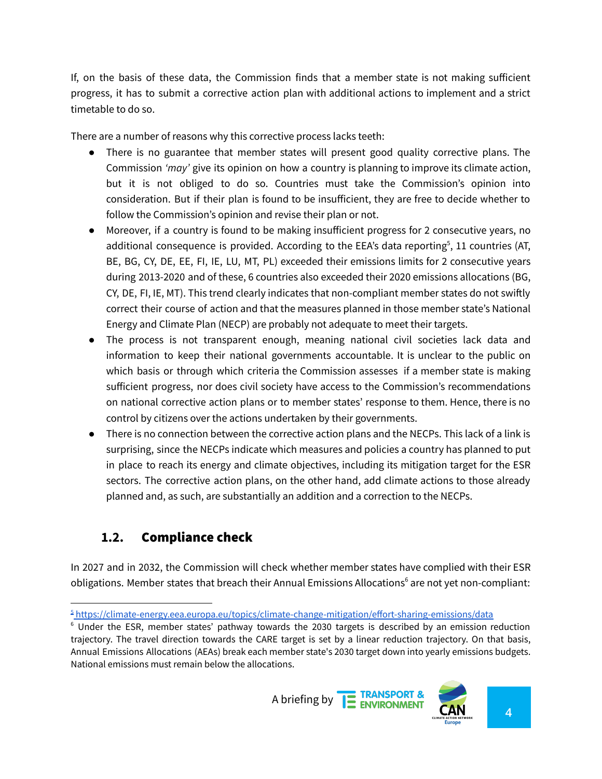If, on the basis of these data, the Commission finds that a member state is not making sufficient progress, it has to submit a corrective action plan with additional actions to implement and a strict timetable to do so.

There are a number of reasons why this corrective process lacks teeth:

- There is no guarantee that member states will present good quality corrective plans. The Commission *'may'* give its opinion on how a country is planning to improve its climate action, but it is not obliged to do so. Countries must take the Commission's opinion into consideration. But if their plan is found to be insufficient, they are free to decide whether to follow the Commission's opinion and revise their plan or not.
- Moreover, if a country is found to be making insufficient progress for 2 consecutive years, no additional consequence is provided. According to the EEA's data reporting<sup>5</sup>, 11 countries (AT, BE, BG, CY, DE, EE, FI, IE, LU, MT, PL) exceeded their emissions limits for 2 consecutive years during 2013-2020 and of these, 6 countries also exceeded their 2020 emissions allocations (BG, CY, DE, FI, IE, MT). This trend clearly indicates that non-compliant member states do not swiftly correct their course of action and that the measures planned in those member state's National Energy and Climate Plan (NECP) are probably not adequate to meet their targets.
- The process is not transparent enough, meaning national civil societies lack data and information to keep their national governments accountable. It is unclear to the public on which basis or through which criteria the Commission assesses if a member state is making sufficient progress, nor does civil society have access to the Commission's recommendations on national corrective action plans or to member states' response to them. Hence, there is no control by citizens over the actions undertaken by their governments.
- There is no connection between the corrective action plans and the NECPs. This lack of a link is surprising, since the NECPs indicate which measures and policies a country has planned to put in place to reach its energy and climate objectives, including its mitigation target for the ESR sectors. The corrective action plans, on the other hand, add climate actions to those already planned and, as such, are substantially an addition and a correction to the NECPs.

#### **1.2.** Compliance check

In 2027 and in 2032, the Commission will check whether member states have complied with their ESR obligations. Member states that breach their Annual Emissions Allocations <sup>6</sup> are not yet non-compliant:

 $6$  Under the ESR, member states' pathway towards the 2030 targets is described by an emission reduction trajectory. The travel direction towards the CARE target is set by a linear reduction trajectory. On that basis, Annual Emissions Allocations (AEAs) break each member state's 2030 target down into yearly emissions budgets. National emissions must remain below the allocations.





<sup>5</sup> <https://climate-energy.eea.europa.eu/topics/climate-change-mitigation/effort-sharing-emissions/data>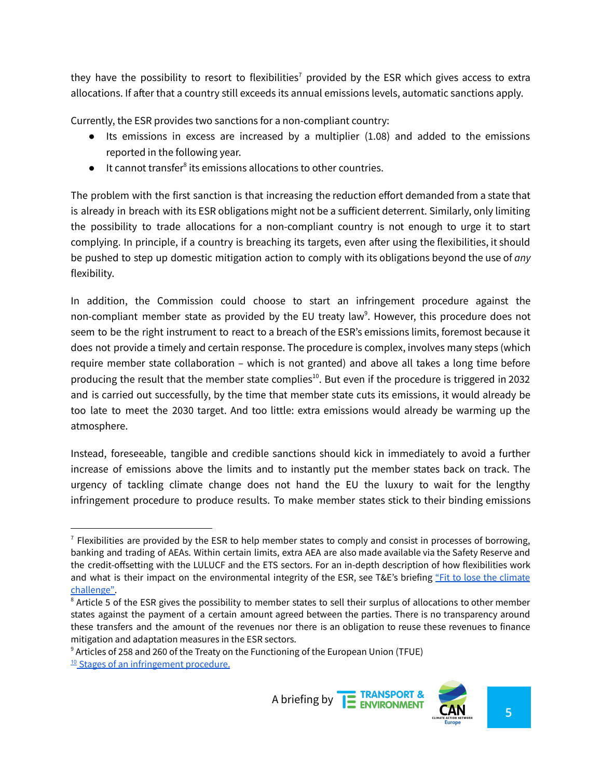they have the possibility to resort to flexibilities<sup>7</sup> provided by the ESR which gives access to extra allocations. If after that a country still exceeds its annual emissions levels, automatic sanctions apply.

Currently, the ESR provides two sanctions for a non-compliant country:

- Its emissions in excess are increased by a multiplier  $(1.08)$  and added to the emissions reported in the following year.
- It cannot transfer<sup>8</sup> its emissions allocations to other countries.

The problem with the first sanction is that increasing the reduction effort demanded from a state that is already in breach with its ESR obligations might not be a sufficient deterrent. Similarly, only limiting the possibility to trade allocations for a non-compliant country is not enough to urge it to start complying. In principle, if a country is breaching its targets, even after using the flexibilities, it should be pushed to step up domestic mitigation action to comply with its obligations beyond the use of *any* flexibility.

In addition, the Commission could choose to start an infringement procedure against the non-compliant member state as provided by the EU treaty law<sup>9</sup>. However, this procedure does not seem to be the right instrument to react to a breach of the ESR's emissions limits, foremost because it does not provide a timely and certain response. The procedure is complex, involves many steps (which require member state collaboration – which is not granted) and above all takes a long time before producing the result that the member state complies<sup>10</sup>. But even if the procedure is triggered in 2032 and is carried out successfully, by the time that member state cuts its emissions, it would already be too late to meet the 2030 target. And too little: extra emissions would already be warming up the atmosphere.

Instead, foreseeable, tangible and credible sanctions should kick in immediately to avoid a further increase of emissions above the limits and to instantly put the member states back on track. The urgency of tackling climate change does not hand the EU the luxury to wait for the lengthy infringement procedure to produce results. To make member states stick to their binding emissions

<sup>&</sup>lt;sup>10</sup> Stages of an [infringement](https://ec.europa.eu/info/law/law-making-process/applying-eu-law/infringement-procedure_en) procedure.





 $<sup>7</sup>$  Flexibilities are provided by the ESR to help member states to comply and consist in processes of borrowing,</sup> banking and trading of AEAs. Within certain limits, extra AEA are also made available via the Safety Reserve and the credit-offsetting with the LULUCF and the ETS sectors. For an in-depth description of how flexibilities work and what is their impact on the environmental integrity of the ESR, see T&E's briefing "Fit to lose the [climate](https://www.transportenvironment.org/discover/fit-to-lose-the-climate-challenge/) [challenge".](https://www.transportenvironment.org/discover/fit-to-lose-the-climate-challenge/)

<sup>&</sup>lt;sup>8</sup> Article 5 of the ESR gives the possibility to member states to sell their surplus of allocations to other member states against the payment of a certain amount agreed between the parties. There is no transparency around these transfers and the amount of the revenues nor there is an obligation to reuse these revenues to finance mitigation and adaptation measures in the ESR sectors.

<sup>9</sup> Articles of 258 and 260 of the Treaty on the Functioning of the European Union (TFUE)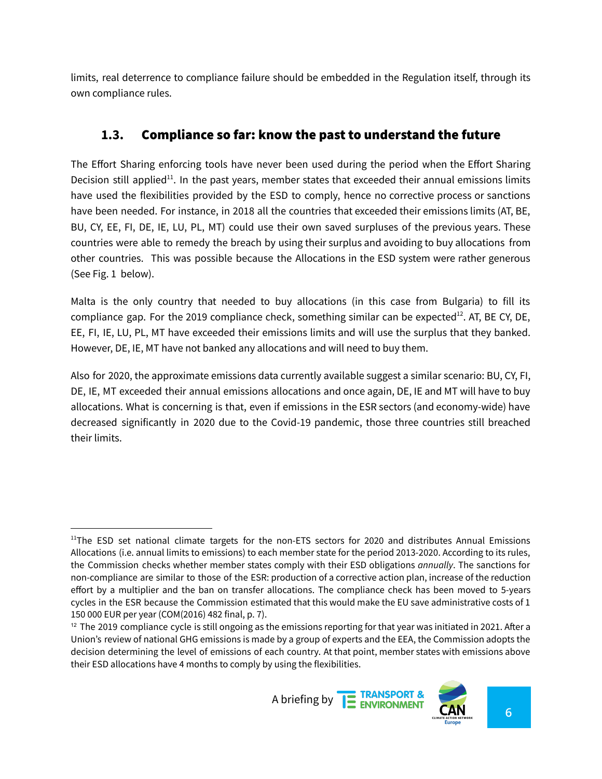limits, real deterrence to compliance failure should be embedded in the Regulation itself, through its own compliance rules.

### **1.3.** Compliance so far: know the past to understand the future

The Effort Sharing enforcing tools have never been used during the period when the Effort Sharing Decision still applied<sup>11</sup>. In the past years, member states that exceeded their annual emissions limits have used the flexibilities provided by the ESD to comply, hence no corrective process or sanctions have been needed. For instance, in 2018 all the countries that exceeded their emissions limits (AT, BE, BU, CY, EE, FI, DE, IE, LU, PL, MT) could use their own saved surpluses of the previous years. These countries were able to remedy the breach by using their surplus and avoiding to buy allocations from other countries. This was possible because the Allocations in the ESD system were rather generous (See Fig. 1 below).

Malta is the only country that needed to buy allocations (in this case from Bulgaria) to fill its compliance gap. For the 2019 compliance check, something similar can be expected<sup>12</sup>. AT, BE CY, DE, EE, FI, IE, LU, PL, MT have exceeded their emissions limits and will use the surplus that they banked. However, DE, IE, MT have not banked any allocations and will need to buy them.

Also for 2020, the approximate emissions data currently available suggest a similar scenario: BU, CY, FI, DE, IE, MT exceeded their annual emissions allocations and once again, DE, IE and MT will have to buy allocations. What is concerning is that, even if emissions in the ESR sectors (and economy-wide) have decreased significantly in 2020 due to the Covid-19 pandemic, those three countries still breached their limits.



 $<sup>11</sup>$ The ESD set national climate targets for the non-ETS sectors for 2020 and distributes Annual Emissions</sup> Allocations (i.e. annual limits to emissions) to each member state for the period 2013-2020. According to its rules, the Commission checks whether member states comply with their ESD obligations *annually*. The sanctions for non-compliance are similar to those of the ESR: production of a corrective action plan, increase of the reduction effort by a multiplier and the ban on transfer allocations. The compliance check has been moved to 5-years cycles in the ESR because the Commission estimated that this would make the EU save administrative costs of 1 150 000 EUR per year (COM(2016) 482 final, p. 7).

 $12$  The 2019 compliance cycle is still ongoing as the emissions reporting for that year was initiated in 2021. After a Union's review of national GHG emissions is made by a group of experts and the EEA, the Commission adopts the decision determining the level of emissions of each country. At that point, member states with emissions above their ESD allocations have 4 months to comply by using the flexibilities.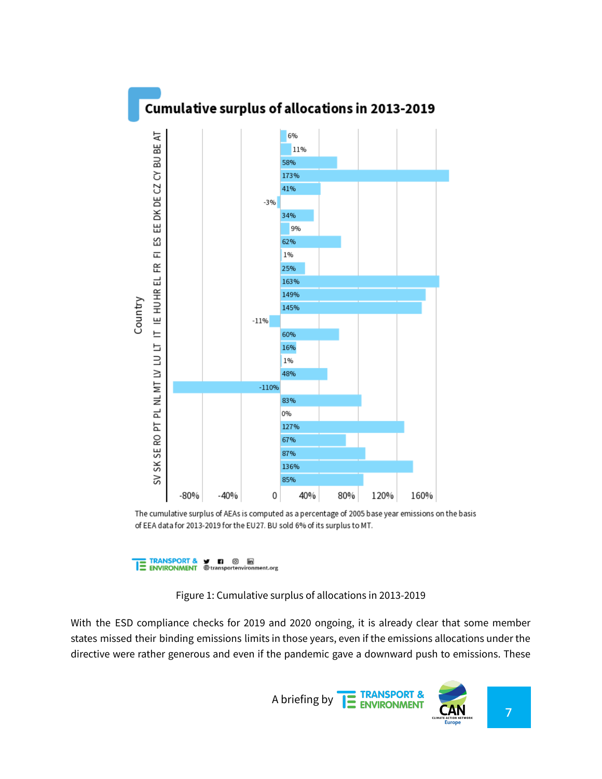

The cumulative surplus of AEAs is computed as a percentage of 2005 base year emissions on the basis of EEA data for 2013-2019 for the EU27. BU sold 6% of its surplus to MT.

TRANSPORT & Y **n** © in<br>TE ENVIRONMENT @transportenvironment.org

Figure 1: Cumulative surplus of allocations in 2013-2019

With the ESD compliance checks for 2019 and 2020 ongoing, it is already clear that some member states missed their binding emissions limits in those years, even if the emissions allocations under the directive were rather generous and even if the pandemic gave a downward push to emissions. These

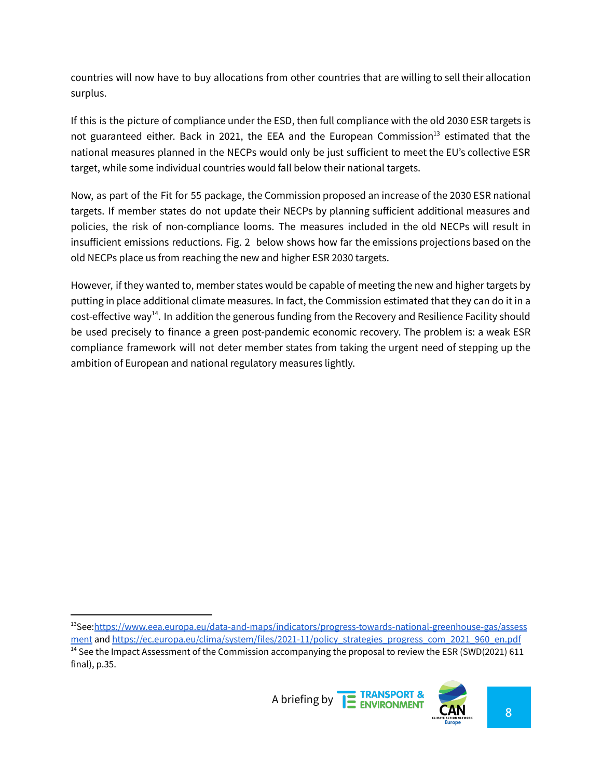countries will now have to buy allocations from other countries that are willing to sell their allocation surplus.

If this is the picture of compliance under the ESD, then full compliance with the old 2030 ESR targets is not guaranteed either. Back in 2021, the EEA and the European Commission<sup>13</sup> estimated that the national measures planned in the NECPs would only be just sufficient to meet the EU's collective ESR target, while some individual countries would fall below their national targets.

Now, as part of the Fit for 55 package, the Commission proposed an increase of the 2030 ESR national targets. If member states do not update their NECPs by planning sufficient additional measures and policies, the risk of non-compliance looms. The measures included in the old NECPs will result in insufficient emissions reductions. Fig. 2 below shows how far the emissions projections based on the old NECPs place us from reaching the new and higher ESR 2030 targets.

However, if they wanted to, member states would be capable of meeting the new and higher targets by putting in place additional climate measures. In fact, the Commission estimated that they can do it in a cost-effective way<sup>14</sup>. In addition the generous funding from the Recovery and Resilience Facility should be used precisely to finance a green post-pandemic economic recovery. The problem is: a weak ESR compliance framework will not deter member states from taking the urgent need of stepping up the ambition of European and national regulatory measures lightly.

 $14$  See the Impact Assessment of the Commission accompanying the proposal to review the ESR (SWD(2021) 611 final), p.35. <sup>13</sup>See:[https://www.eea.europa.eu/data-and-maps/indicators/progress-towards-national-greenhouse-gas/assess](https://www.eea.europa.eu/data-and-maps/indicators/progress-towards-national-greenhouse-gas/assessment) [ment](https://www.eea.europa.eu/data-and-maps/indicators/progress-towards-national-greenhouse-gas/assessment) and [https://ec.europa.eu/clima/system/files/2021-11/policy\\_strategies\\_progress\\_com\\_2021\\_960\\_en.pdf](https://ec.europa.eu/clima/system/files/2021-11/policy_strategies_progress_com_2021_960_en.pdf)

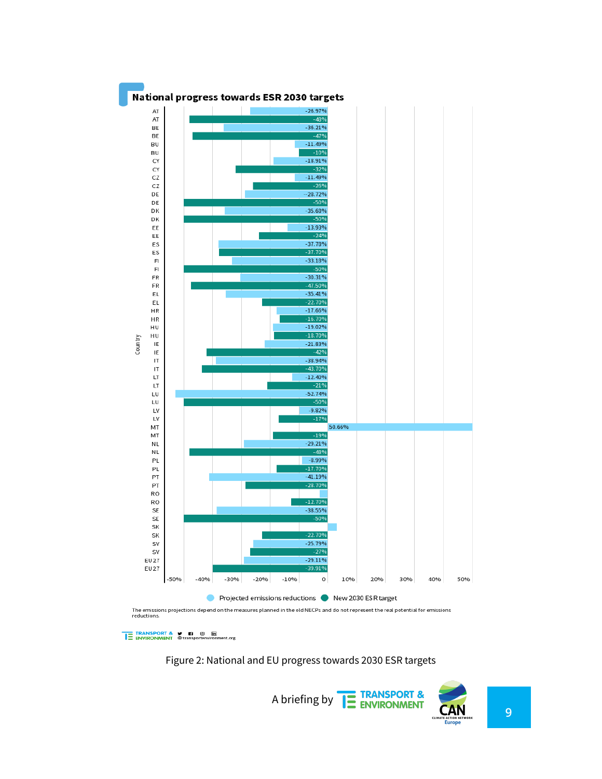

TRANSPORT & T & T © ENVIRONMENT @transportenvironment.org

Figure 2: National and EU progress towards 2030 ESR targets

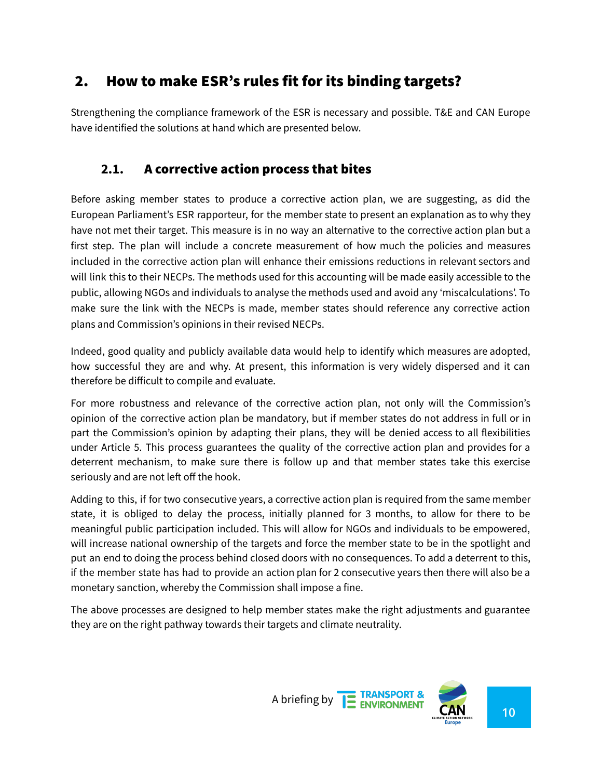## 2. How to make ESR's rules fit for its binding targets?

Strengthening the compliance framework of the ESR is necessary and possible. T&E and CAN Europe have identified the solutions at hand which are presented below.

#### **2.1.** A corrective action process that bites

Before asking member states to produce a corrective action plan, we are suggesting, as did the European Parliament's ESR rapporteur, for the member state to present an explanation as to why they have not met their target. This measure is in no way an alternative to the corrective action plan but a first step. The plan will include a concrete measurement of how much the policies and measures included in the corrective action plan will enhance their emissions reductions in relevant sectors and will link this to their NECPs. The methods used for this accounting will be made easily accessible to the public, allowing NGOs and individuals to analyse the methods used and avoid any 'miscalculations'. To make sure the link with the NECPs is made, member states should reference any corrective action plans and Commission's opinions in their revised NECPs.

Indeed, good quality and publicly available data would help to identify which measures are adopted, how successful they are and why. At present, this information is very widely dispersed and it can therefore be difficult to compile and evaluate.

For more robustness and relevance of the corrective action plan, not only will the Commission's opinion of the corrective action plan be mandatory, but if member states do not address in full or in part the Commission's opinion by adapting their plans, they will be denied access to all flexibilities under Article 5. This process guarantees the quality of the corrective action plan and provides for a deterrent mechanism, to make sure there is follow up and that member states take this exercise seriously and are not left off the hook.

Adding to this, if for two consecutive years, a corrective action plan is required from the same member state, it is obliged to delay the process, initially planned for 3 months, to allow for there to be meaningful public participation included. This will allow for NGOs and individuals to be empowered, will increase national ownership of the targets and force the member state to be in the spotlight and put an end to doing the process behind closed doors with no consequences. To add a deterrent to this, if the member state has had to provide an action plan for 2 consecutive years then there will also be a monetary sanction, whereby the Commission shall impose a fine.

The above processes are designed to help member states make the right adjustments and guarantee they are on the right pathway towards their targets and climate neutrality.

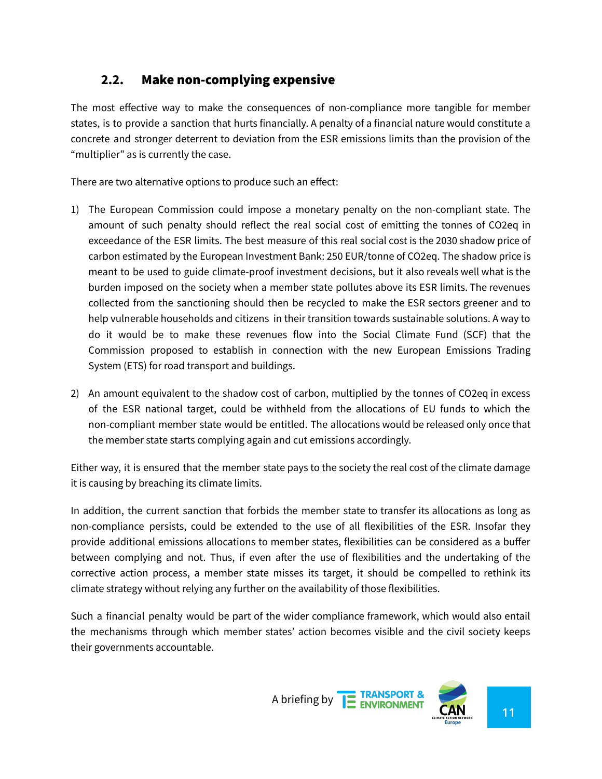#### **2.2.** Make non-complying expensive

The most effective way to make the consequences of non-compliance more tangible for member states, is to provide a sanction that hurts financially. A penalty of a financial nature would constitute a concrete and stronger deterrent to deviation from the ESR emissions limits than the provision of the "multiplier" as is currently the case.

There are two alternative options to produce such an effect:

- 1) The European Commission could impose a monetary penalty on the non-compliant state. The amount of such penalty should reflect the real social cost of emitting the tonnes of CO2eq in exceedance of the ESR limits. The best measure of this real social cost is the 2030 shadow price of carbon estimated by the European Investment Bank: 250 EUR/tonne of CO2eq. The shadow price is meant to be used to guide climate-proof investment decisions, but it also reveals well what is the burden imposed on the society when a member state pollutes above its ESR limits. The revenues collected from the sanctioning should then be recycled to make the ESR sectors greener and to help vulnerable households and citizens in their transition towards sustainable solutions. A way to do it would be to make these revenues flow into the Social Climate Fund (SCF) that the Commission proposed to establish in connection with the new European Emissions Trading System (ETS) for road transport and buildings.
- 2) An amount equivalent to the shadow cost of carbon, multiplied by the tonnes of CO2eq in excess of the ESR national target, could be withheld from the allocations of EU funds to which the non-compliant member state would be entitled. The allocations would be released only once that the member state starts complying again and cut emissions accordingly.

Either way, it is ensured that the member state pays to the society the real cost of the climate damage it is causing by breaching its climate limits.

In addition, the current sanction that forbids the member state to transfer its allocations as long as non-compliance persists, could be extended to the use of all flexibilities of the ESR. Insofar they provide additional emissions allocations to member states, flexibilities can be considered as a buffer between complying and not. Thus, if even after the use of flexibilities and the undertaking of the corrective action process, a member state misses its target, it should be compelled to rethink its climate strategy without relying any further on the availability of those flexibilities.

Such a financial penalty would be part of the wider compliance framework, which would also entail the mechanisms through which member states' action becomes visible and the civil society keeps their governments accountable.

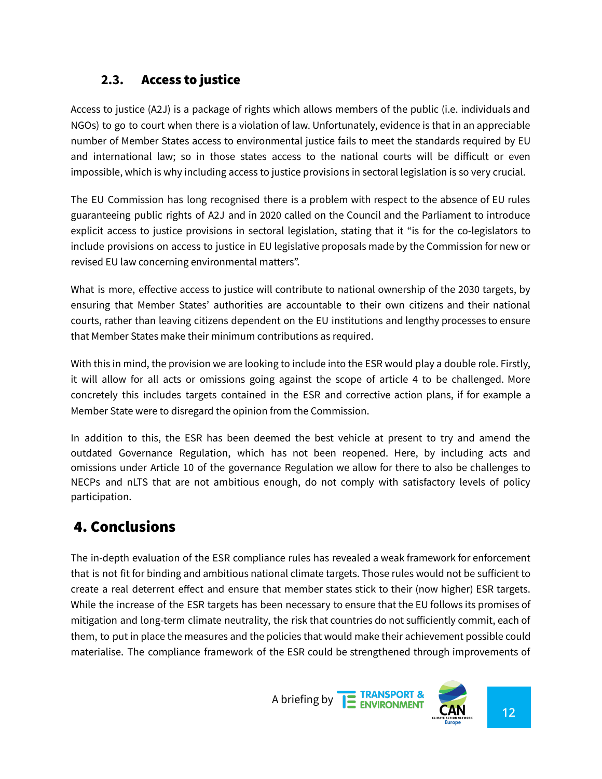#### **2.3.** Access to justice

Access to justice (A2J) is a package of rights which allows members of the public (i.e. individuals and NGOs) to go to court when there is a violation of law. Unfortunately, evidence is that in an appreciable number of Member States access to environmental justice fails to meet the standards required by EU and international law; so in those states access to the national courts will be difficult or even impossible, which is why including access to justice provisions in sectoral legislation is so very crucial.

The EU Commission has long recognised there is a problem with respect to the absence of EU rules guaranteeing public rights of A2J and in 2020 called on the Council and the Parliament to introduce explicit access to justice provisions in sectoral legislation, stating that it "is for the co-legislators to include provisions on access to justice in EU legislative proposals made by the Commission for new or revised EU law concerning environmental matters".

What is more, effective access to justice will contribute to national ownership of the 2030 targets, by ensuring that Member States' authorities are accountable to their own citizens and their national courts, rather than leaving citizens dependent on the EU institutions and lengthy processes to ensure that Member States make their minimum contributions as required.

With this in mind, the provision we are looking to include into the ESR would play a double role. Firstly, it will allow for all acts or omissions going against the scope of article 4 to be challenged. More concretely this includes targets contained in the ESR and corrective action plans, if for example a Member State were to disregard the opinion from the Commission.

In addition to this, the ESR has been deemed the best vehicle at present to try and amend the outdated Governance Regulation, which has not been reopened. Here, by including acts and omissions under Article 10 of the governance Regulation we allow for there to also be challenges to NECPs and nLTS that are not ambitious enough, do not comply with satisfactory levels of policy participation.

## 4. Conclusions

The in-depth evaluation of the ESR compliance rules has revealed a weak framework for enforcement that is not fit for binding and ambitious national climate targets. Those rules would not be sufficient to create a real deterrent effect and ensure that member states stick to their (now higher) ESR targets. While the increase of the ESR targets has been necessary to ensure that the EU follows its promises of mitigation and long-term climate neutrality, the risk that countries do not sufficiently commit, each of them, to put in place the measures and the policies that would make their achievement possible could materialise. The compliance framework of the ESR could be strengthened through improvements of